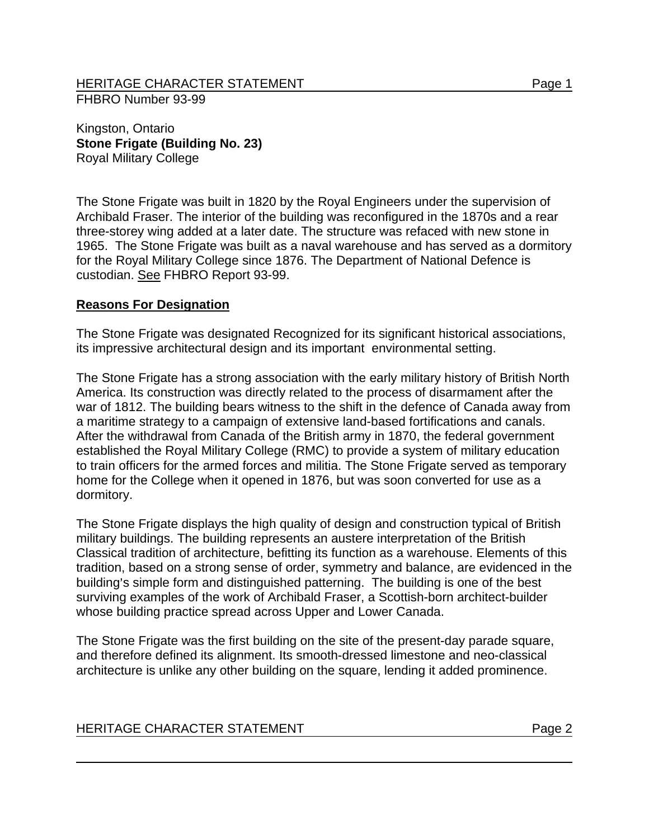Kingston, Ontario **Stone Frigate (Building No. 23)** Royal Military College

The Stone Frigate was built in 1820 by the Royal Engineers under the supervision of Archibald Fraser. The interior of the building was reconfigured in the 1870s and a rear three-storey wing added at a later date. The structure was refaced with new stone in 1965. The Stone Frigate was built as a naval warehouse and has served as a dormitory for the Royal Military College since 1876. The Department of National Defence is custodian. See FHBRO Report 93-99.

## **Reasons For Designation**

The Stone Frigate was designated Recognized for its significant historical associations, its impressive architectural design and its important environmental setting.

The Stone Frigate has a strong association with the early military history of British North America. Its construction was directly related to the process of disarmament after the war of 1812. The building bears witness to the shift in the defence of Canada away from a maritime strategy to a campaign of extensive land-based fortifications and canals. After the withdrawal from Canada of the British army in 1870, the federal government established the Royal Military College (RMC) to provide a system of military education to train officers for the armed forces and militia. The Stone Frigate served as temporary home for the College when it opened in 1876, but was soon converted for use as a dormitory.

The Stone Frigate displays the high quality of design and construction typical of British military buildings. The building represents an austere interpretation of the British Classical tradition of architecture, befitting its function as a warehouse. Elements of this tradition, based on a strong sense of order, symmetry and balance, are evidenced in the building's simple form and distinguished patterning. The building is one of the best surviving examples of the work of Archibald Fraser, a Scottish-born architect-builder whose building practice spread across Upper and Lower Canada.

The Stone Frigate was the first building on the site of the present-day parade square, and therefore defined its alignment. Its smooth-dressed limestone and neo-classical architecture is unlike any other building on the square, lending it added prominence.

## HERITAGE CHARACTER STATEMENT FRAME AND RESEARCHER Page 2